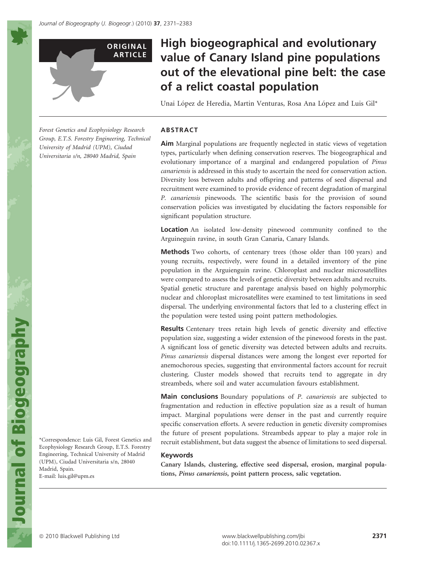

# High biogeographical and evolutionary value of Canary Island pine populations out of the elevational pine belt: the case of a relict coastal population

Unai López de Heredia, Martin Venturas, Rosa Ana López and Luis Gil\*

Forest Genetics and Ecophysiology Research Group, E.T.S. Forestry Engineering, Technical University of Madrid (UPM), Ciudad Universitaria s/n, 28040 Madrid, Spain

## ABSTRACT

Aim Marginal populations are frequently neglected in static views of vegetation types, particularly when defining conservation reserves. The biogeographical and evolutionary importance of a marginal and endangered population of Pinus canariensis is addressed in this study to ascertain the need for conservation action. Diversity loss between adults and offspring and patterns of seed dispersal and recruitment were examined to provide evidence of recent degradation of marginal P. canariensis pinewoods. The scientific basis for the provision of sound conservation policies was investigated by elucidating the factors responsible for significant population structure.

Location An isolated low-density pinewood community confined to the Arguineguin ravine, in south Gran Canaria, Canary Islands.

Methods Two cohorts, of centenary trees (those older than 100 years) and young recruits, respectively, were found in a detailed inventory of the pine population in the Arguienguin ravine. Chloroplast and nuclear microsatellites were compared to assess the levels of genetic diversity between adults and recruits. Spatial genetic structure and parentage analysis based on highly polymorphic nuclear and chloroplast microsatellites were examined to test limitations in seed dispersal. The underlying environmental factors that led to a clustering effect in the population were tested using point pattern methodologies.

Results Centenary trees retain high levels of genetic diversity and effective population size, suggesting a wider extension of the pinewood forests in the past. A significant loss of genetic diversity was detected between adults and recruits. Pinus canariensis dispersal distances were among the longest ever reported for anemochorous species, suggesting that environmental factors account for recruit clustering. Cluster models showed that recruits tend to aggregate in dry streambeds, where soil and water accumulation favours establishment.

Main conclusions Boundary populations of P. canariensis are subjected to fragmentation and reduction in effective population size as a result of human impact. Marginal populations were denser in the past and currently require specific conservation efforts. A severe reduction in genetic diversity compromises the future of present populations. Streambeds appear to play a major role in recruit establishment, but data suggest the absence of limitations to seed dispersal.

#### Keywords

Canary Islands, clustering, effective seed dispersal, erosion, marginal populations, Pinus canariensis, point pattern process, salic vegetation.

Madrid, Spain. E-mail: luis.gil@upm.es

\*Correspondence: Luis Gil, Forest Genetics and Ecophysiology Research Group, E.T.S. Forestry Engineering, Technical University of Madrid (UPM), Ciudad Universitaria s/n, 28040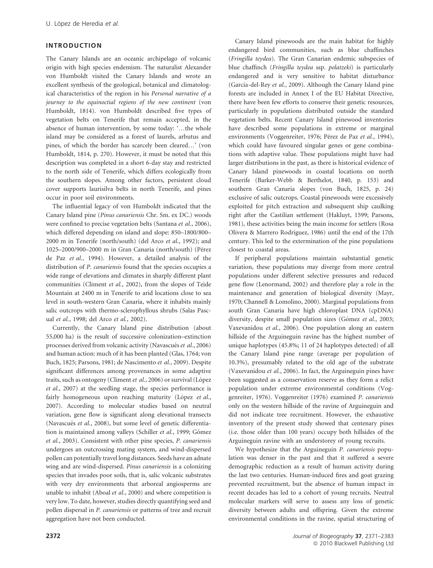# INTRODUCTION

The Canary Islands are an oceanic archipelago of volcanic origin with high species endemism. The naturalist Alexander von Humboldt visited the Canary Islands and wrote an excellent synthesis of the geological, botanical and climatological characteristics of the region in his Personal narrative of a journey to the equinoctial regions of the new continent (von Humboldt, 1814). von Humboldt described five types of vegetation belts on Tenerife that remain accepted, in the absence of human intervention, by some today: '…the whole island may be considered as a forest of laurels, arbutus and pines, of which the border has scarcely been cleared…' (von Humboldt, 1814, p. 270). However, it must be noted that this description was completed in a short 6-day stay and restricted to the north side of Tenerife, which differs ecologically from the southern slopes. Among other factors, persistent cloud cover supports laurisilva belts in north Tenerife, and pines occur in poor soil environments.

The influential legacy of von Humboldt indicated that the Canary Island pine (Pinus canariensis Chr. Sm. ex DC.) woods were confined to precise vegetation belts (Santana et al., 2006), which differed depending on island and slope: 850–1800/800– 2000 m in Tenerife (north/south) (del Arco et al., 1992); and 1025–2000/900–2000 m in Gran Canaria (north/south) (Pérez de Paz et al., 1994). However, a detailed analysis of the distribution of P. canariensis found that the species occupies a wide range of elevations and climates in sharply different plant communities (Climent et al., 2002), from the slopes of Teide Mountain at 2400 m in Tenerife to arid locations close to sea level in south-western Gran Canaria, where it inhabits mainly salic outcrops with thermo-sclerophyllous shrubs (Salas Pascual et al., 1998; del Arco et al., 2002).

Currently, the Canary Island pine distribution (about 55,000 ha) is the result of successive colonization–extinction processes derived from volcanic activity (Navascués et al., 2006) and human action: much of it has been planted (Glas, 1764; von Buch, 1825; Parsons, 1981; de Nascimento et al., 2009). Despite significant differences among provenances in some adaptive traits, such as ontogeny (Climent et al., 2006) or survival (López et al., 2007) at the seedling stage, the species performance is fairly homogeneous upon reaching maturity (López et al., 2007). According to molecular studies based on neutral variation, gene flow is significant along elevational transects (Navascués et al., 2008), but some level of genetic differentiation is maintained among valleys (Schiller et al., 1999; Gómez et al., 2003). Consistent with other pine species, P. canariensis undergoes an outcrossing mating system, and wind-dispersed pollen can potentially travel long distances. Seeds have an adnate wing and are wind-dispersed. Pinus canariensis is a colonizing species that invades poor soils, that is, salic volcanic substrates with very dry environments that arboreal angiosperms are unable to inhabit (Aboal et al., 2000) and where competition is very low. To date, however, studies directly quantifying seed and pollen dispersal in P. canariensis or patterns of tree and recruit aggregation have not been conducted.

Canary Island pinewoods are the main habitat for highly endangered bird communities, such as blue chaffinches (Fringilla teydea). The Gran Canarian endemic subspecies of blue chaffinch (Fringilla teydea ssp. polatzeki) is particularly endangered and is very sensitive to habitat disturbance (García-del-Rey et al., 2009). Although the Canary Island pine forests are included in Annex I of the EU Habitat Directive, there have been few efforts to conserve their genetic resources, particularly in populations distributed outside the standard vegetation belts. Recent Canary Island pinewood inventories have described some populations in extreme or marginal environments (Voggenreiter, 1976; Pérez de Paz et al., 1994), which could have favoured singular genes or gene combinations with adaptive value. These populations might have had larger distributions in the past, as there is historical evidence of Canary Island pinewoods in coastal locations on north Tenerife (Barker-Webb & Berthelot, 1840, p. 153) and southern Gran Canaria slopes (von Buch, 1825, p. 24) exclusive of salic outcrops. Coastal pinewoods were excessively exploited for pitch extraction and subsequent ship caulking right after the Castilian settlement (Hakluyt, 1599; Parsons, 1981), these activities being the main income for settlers (Rosa Olivera & Marrero Rodríguez, 1986) until the end of the 17th century. This led to the extermination of the pine populations closest to coastal areas.

If peripheral populations maintain substantial genetic variation, these populations may diverge from more central populations under different selective pressures and reduced gene flow (Lenormand, 2002) and therefore play a role in the maintenance and generation of biological diversity (Mayr, 1970; Channell & Lomolino, 2000). Marginal populations from south Gran Canaria have high chloroplast DNA (cpDNA) diversity, despite small population sizes (Gómez et al., 2003; Vaxevanidou et al., 2006). One population along an eastern hillside of the Arguineguin ravine has the highest number of unique haplotypes (45.8%; 11 of 24 haplotypes detected) of all the Canary Island pine range (average per population of 10.3%), presumably related to the old age of the substrate (Vaxevanidou et al., 2006). In fact, the Arguineguin pines have been suggested as a conservation reserve as they form a relict population under extreme environmental conditions (Voggenreiter, 1976). Voggenreiter (1976) examined P. canariensis only on the western hillside of the ravine of Arguineguin and did not indicate tree recruitment. However, the exhaustive inventory of the present study showed that centenary pines (i.e. those older than 100 years) occupy both hillsides of the Arguineguin ravine with an understorey of young recruits.

We hypothesize that the Arguineguin P. canariensis population was denser in the past and that it suffered a severe demographic reduction as a result of human activity during the last two centuries. Human-induced fires and goat grazing prevented recruitment, but the absence of human impact in recent decades has led to a cohort of young recruits. Neutral molecular markers will serve to assess any loss of genetic diversity between adults and offspring. Given the extreme environmental conditions in the ravine, spatial structuring of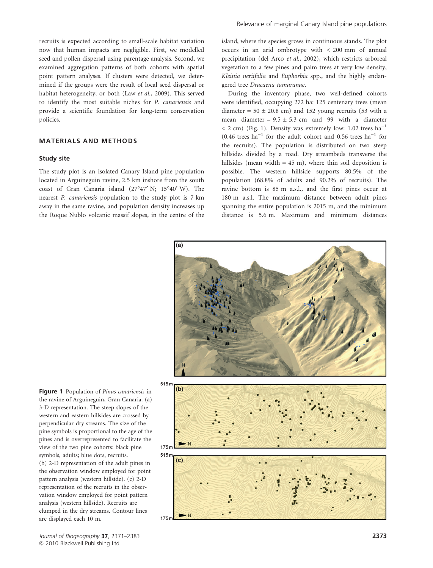recruits is expected according to small-scale habitat variation now that human impacts are negligible. First, we modelled seed and pollen dispersal using parentage analysis. Second, we examined aggregation patterns of both cohorts with spatial point pattern analyses. If clusters were detected, we determined if the groups were the result of local seed dispersal or habitat heterogeneity, or both (Law et al., 2009). This served to identify the most suitable niches for P. canariensis and provide a scientific foundation for long-term conservation policies.

### MATERIALS AND METHODS

#### Study site

The study plot is an isolated Canary Island pine population located in Arguineguin ravine, 2.5 km inshore from the south coast of Gran Canaria island  $(27^{\circ}47' \text{ N}; 15^{\circ}40' \text{ W})$ . The nearest P. canariensis population to the study plot is 7 km away in the same ravine, and population density increases up the Roque Nublo volcanic massif slopes, in the centre of the island, where the species grows in continuous stands. The plot occurs in an arid ombrotype with < 200 mm of annual precipitation (del Arco et al., 2002), which restricts arboreal vegetation to a few pines and palm trees at very low density, Kleinia neriifolia and Euphorbia spp., and the highly endangered tree Dracaena tamaranae.

During the inventory phase, two well-defined cohorts were identified, occupying 272 ha: 125 centenary trees (mean diameter =  $50 \pm 20.8$  cm) and 152 young recruits (53 with a mean diameter =  $9.5 \pm 5.3$  cm and 99 with a diameter  $\leq$  2 cm) (Fig. 1). Density was extremely low: 1.02 trees ha<sup>-1</sup>  $(0.46 \text{ trees ha}^{-1}$  for the adult cohort and 0.56 trees ha<sup>-1</sup> for the recruits). The population is distributed on two steep hillsides divided by a road. Dry streambeds transverse the hillsides (mean width  $= 45$  m), where thin soil deposition is possible. The western hillside supports 80.5% of the population (68.8% of adults and 90.2% of recruits). The ravine bottom is 85 m a.s.l., and the first pines occur at 180 m a.s.l. The maximum distance between adult pines spanning the entire population is 2015 m, and the minimum distance is 5.6 m. Maximum and minimum distances



Figure 1 Population of Pinus canariensis in the ravine of Arguineguin, Gran Canaria. (a) 3-D representation. The steep slopes of the western and eastern hillsides are crossed by perpendicular dry streams. The size of the pine symbols is proportional to the age of the pines and is overrepresented to facilitate the view of the two pine cohorts: black pine symbols, adults; blue dots, recruits. (b) 2-D representation of the adult pines in the observation window employed for point pattern analysis (western hillside). (c) 2-D representation of the recruits in the observation window employed for point pattern analysis (western hillside). Recruits are clumped in the dry streams. Contour lines are displayed each 10 m.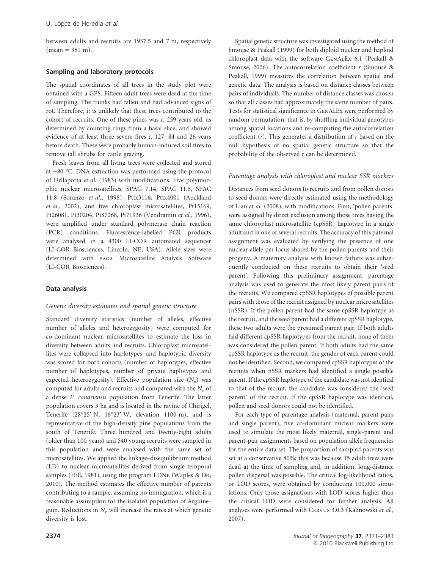between adults and recruits are 1937.5 and 7 m, respectively  $mean = 351 m$ .

#### Sampling and laboratory protocols

The spatial coordinates of all trees in the study plot were obtained with a GPS. Fifteen adult trees were dead at the time of sampling. The trunks had fallen and had advanced signs of rot. Therefore, it is unlikely that these trees contributed to the cohort of recruits. One of these pines was c. 259 years old, as determined by counting rings from a basal slice, and showed evidence of at least three severe fires c. 127, 84 and 26 years before death. These were probably human-induced soil fires to remove tall shrubs for cattle grazing.

Fresh leaves from all living trees were collected and stored at -80 °C. DNA extraction was performed using the protocol of Dellaporta et al. (1983) with modifications. Five polymorphic nuclear microsatellites, SPAG 7.14, SPAC 11.5, SPAC 11.8 (Soranzo et al., 1998), Pttx3116, Pttx4001 (Auckland et al., 2002), and five chloroplast microsatellites, Pt15169, Pt26081, Pt30204, Pt87268, Pt71936 (Vendramin et al., 1996), were amplified under standard polymerase chain reaction (PCR) conditions. Fluorescence-labelled PCR products were analysed in a 4300 LI-COR automated sequencer (LI-COR Biosciences, Lincoln, NE, USA). Allele sizes were determined with saga Microsatellite Analysis Software (LI-COR Biosciences).

# Data analysis

#### Genetic diversity estimates and spatial genetic structure

Standard diversity statistics (number of alleles, effective number of alleles and heterozygosity) were computed for co-dominant nuclear microsatellites to estimate the loss in diversity between adults and recruits. Chloroplast microsatellites were collapsed into haplotypes, and haplotypic diversity was scored for both cohorts (number of haplotypes, effective number of haplotypes, number of private haplotypes and expected heterozygosity). Effective population size  $(N_e)$  was computed for adults and recruits and compared with the  $N_e$  of a dense P. canariensis population from Tenerife. The latter population covers 3 ha and is located in the ravine of Chirigel, Tenerife  $(28^{\circ}25' \text{ N}, 16^{\circ}23' \text{ W}, \text{elevation } 1100 \text{ m}), \text{ and is}$ representative of the high-density pine populations from the south of Tenerife. Three hundred and twenty-eight adults (older than 100 years) and 540 young recruits were sampled in this population and were analysed with the same set of microsatellites. We applied the linkage–disequilibrium method (LD) to nuclear microsatellites derived from single temporal samples (Hill, 1981), using the program LDNe (Waples & Do, 2010). The method estimates the effective number of parents contributing to a sample, assuming no immigration, which is a reasonable assumption for the isolated population of Arguineguin. Reductions in  $N_e$  will increase the rates at which genetic diversity is lost.

Spatial genetic structure was investigated using the method of Smouse & Peakall (1999) for both diploid nuclear and haploid chloroplast data with the software GenAlEx 6.1 (Peakall & Smouse, 2006). The autocorrelation coefficient  $r$  (Smouse & Peakall, 1999) measures the correlation between spatial and genetic data. The analysis is based on distance classes between pairs of individuals. The number of distance classes was chosen so that all classes had approximately the same number of pairs. Tests for statistical significance in GenAlEx were performed by random permutation, that is, by shuffling individual genotypes among spatial locations and re-computing the autocorrelation coefficient  $(r)$ . This generates a distribution of r based on the null hypothesis of no spatial genetic structure so that the probability of the observed  $r$  can be determined.

#### Parentage analysis with chloroplast and nuclear SSR markers

Distances from seed donors to recruits and from pollen donors to seed donors were directly estimated using the methodology of Lian et al. (2008), with modifications. First, 'pollen parents' were assigned by direct exclusion among those trees having the same chloroplast microsatellite (cpSSR) haplotype in a single adult and in one or several recruits. The accuracy of this paternal assignment was evaluated by verifying the presence of one nuclear allele per locus shared by the pollen parents and their progeny. A maternity analysis with known fathers was subsequently conducted on these recruits to obtain their 'seed parent'. Following this preliminary assignment, parentage analysis was used to generate the most likely parent pairs of the recruits. We compared cpSSR haplotypes of possible parent pairs with those of the recruit assigned by nuclear microsatellites (nSSR). If the pollen parent had the same cpSSR haplotype as the recruit, and the seed parent had a different cpSSR haplotype, these two adults were the presumed parent pair. If both adults had different cpSSR haplotypes from the recruit, none of them was considered the pollen parent. If both adults had the same cpSSR haplotype as the recruit, the gender of each parent could not be identified. Second, we compared cpSSR haplotypes of the recruits when nSSR markers had identified a single possible parent. If the cpSSR haplotype of the candidate was not identical to that of the recruit, the candidate was considered the 'seed parent' of the recruit. If the cpSSR haplotype was identical, pollen and seed donors could not be identified.

For each type of parentage analysis (maternal, parent pairs and single parent), five co-dominant nuclear markers were used to simulate the most likely maternal, single-parent and parent-pair assignments based on population allele frequencies for the entire data set. The proportion of sampled parents was set at a conservative 80%; this was because 15 adult trees were dead at the time of sampling and, in addition, long-distance pollen dispersal was possible. The critical log-likelihood ratios, or LOD scores, were obtained by conducting 100,000 simulations. Only those assignations with LOD scores higher than the critical LOD were considered for further analysis. All analyses were performed with Cervus 3.0.3 (Kalinowski et al., 2007).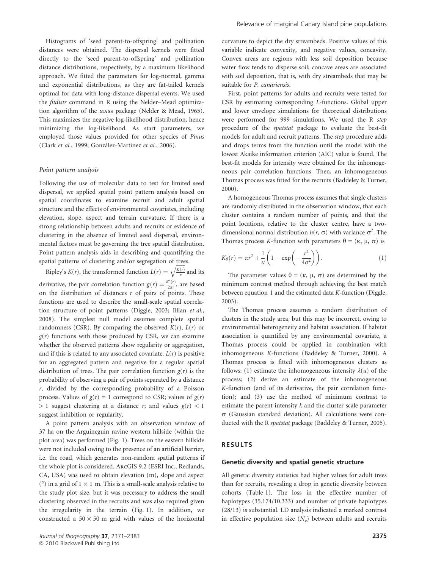Histograms of 'seed parent-to-offspring' and pollination distances were obtained. The dispersal kernels were fitted directly to the 'seed parent-to-offspring' and pollination distance distributions, respectively, by a maximum likelihood approach. We fitted the parameters for log-normal, gamma and exponential distributions, as they are fat-tailed kernels optimal for data with long-distance dispersal events. We used the fitdistr command in R using the Nelder–Mead optimization algorithm of the mass package (Nelder & Mead, 1965). This maximizes the negative log-likelihood distribution, hence minimizing the log-likelihood. As start parameters, we employed those values provided for other species of Pinus (Clark et al., 1999; González-Martínez et al., 2006).

### Point pattern analysis

Following the use of molecular data to test for limited seed dispersal, we applied spatial point pattern analysis based on spatial coordinates to examine recruit and adult spatial structure and the effects of environmental covariates, including elevation, slope, aspect and terrain curvature. If there is a strong relationship between adults and recruits or evidence of clustering in the absence of limited seed dispersal, environmental factors must be governing the tree spatial distribution. Point pattern analysis aids in describing and quantifying the spatial patterns of clustering and/or segregation of trees.

Ripley's  $K(r)$ , the transformed function  $L(r) =$  $\frac{K(r)}{\pi}$  $\mathbf{r}_{\parallel}$ and its derivative, the pair correlation function  $g(r) = \frac{K'(r)}{2\pi r}$ , are based on the distribution of distances  $r$  of pairs of points. These functions are used to describe the small-scale spatial correlation structure of point patterns (Diggle, 2003; Illian et al., 2008). The simplest null model assumes complete spatial randomness (CSR). By comparing the observed  $K(r)$ ,  $L(r)$  or  $g(r)$  functions with those produced by CSR, we can examine whether the observed patterns show regularity or aggregation, and if this is related to any associated covariate.  $L(r)$  is positive for an aggregated pattern and negative for a regular spatial distribution of trees. The pair correlation function  $g(r)$  is the probability of observing a pair of points separated by a distance r, divided by the corresponding probability of a Poisson process. Values of  $g(r) = 1$  correspond to CSR; values of  $g(r)$  $> 1$  suggest clustering at a distance r; and values  $g(r) < 1$ suggest inhibition or regularity.

A point pattern analysis with an observation window of 37 ha on the Arguineguin ravine western hillside (within the plot area) was performed (Fig. 1). Trees on the eastern hillside were not included owing to the presence of an artificial barrier, i.e. the road, which generates non-random spatial patterns if the whole plot is considered. ArcGIS 9.2 (ESRI Inc., Redlands, CA, USA) was used to obtain elevation (m), slope and aspect ( $\degree$ ) in a grid of 1  $\times$  1 m. This is a small-scale analysis relative to the study plot size, but it was necessary to address the small clustering observed in the recruits and was also required given the irregularity in the terrain (Fig. 1). In addition, we constructed a  $50 \times 50$  m grid with values of the horizontal curvature to depict the dry streambeds. Positive values of this variable indicate convexity, and negative values, concavity. Convex areas are regions with less soil deposition because water flow tends to disperse soil; concave areas are associated with soil deposition, that is, with dry streambeds that may be suitable for P. canariensis.

First, point patterns for adults and recruits were tested for CSR by estimating corresponding L-functions. Global upper and lower envelope simulations for theoretical distributions were performed for 999 simulations. We used the R step procedure of the spatstat package to evaluate the best-fit models for adult and recruit patterns. The step procedure adds and drops terms from the function until the model with the lowest Akaike information criterion (AIC) value is found. The best-fit models for intensity were obtained for the inhomogeneous pair correlation functions. Then, an inhomogeneous Thomas process was fitted for the recruits (Baddeley & Turner, 2000).

A homogeneous Thomas process assumes that single clusters are randomly distributed in the observation window, that each cluster contains a random number of points, and that the point locations, relative to the cluster centre, have a twodimensional normal distribution  $h(r, \sigma)$  with variance  $\sigma^2$ . The Thomas process K-function with parameters  $\theta = (\kappa, \mu, \sigma)$  is

$$
K_{\theta}(r) = \pi r^2 + \frac{1}{\kappa} \left( 1 - \exp\left(-\frac{r^2}{4\sigma^2}\right) \right). \tag{1}
$$

The parameter values  $\theta = (\kappa, \mu, \sigma)$  are determined by the minimum contrast method through achieving the best match between equation 1 and the estimated data K-function (Diggle, 2003).

The Thomas process assumes a random distribution of clusters in the study area, but this may be incorrect, owing to environmental heterogeneity and habitat association. If habitat association is quantified by any environmental covariate, a Thomas process could be applied in combination with inhomogeneous K-functions (Baddeley & Turner, 2000). A Thomas process is fitted with inhomogeneous clusters as follows: (1) estimate the inhomogeneous intensity  $\lambda(u)$  of the process; (2) derive an estimate of the inhomogeneous K-function (and of its derivative, the pair correlation function); and (3) use the method of minimum contrast to estimate the parent intensity  $k$  and the cluster scale parameter  $\sigma$  (Gaussian standard deviation). All calculations were conducted with the R spatstat package (Baddeley & Turner, 2005).

# RESULTS

#### Genetic diversity and spatial genetic structure

All genetic diversity statistics had higher values for adult trees than for recruits, revealing a drop in genetic diversity between cohorts (Table 1). The loss in the effective number of haplotypes (35.174/10.333) and number of private haplotypes (28/13) is substantial. LD analysis indicated a marked contrast in effective population size  $(N_e)$  between adults and recruits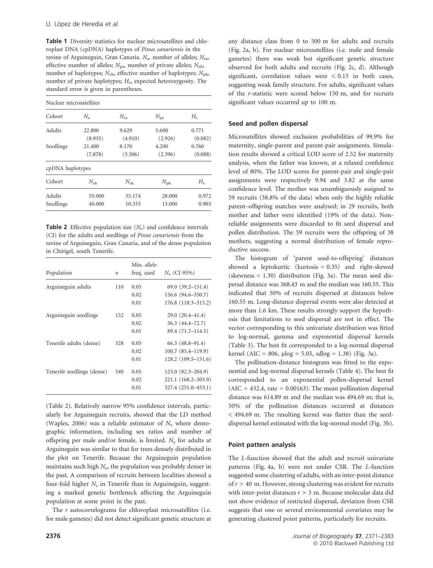Table 1 Diversity statistics for nuclear microsatellites and chloroplast DNA (cpDNA) haplotypes of Pinus canariensis in the ravine of Arguineguin, Gran Canaria.  $N_a$ , number of alleles;  $N_{ea}$ , effective number of alleles;  $N_{\text{pa}}$ , number of private alleles;  $N_{\text{ah}}$ , number of haplotypes;  $N_{\text{eh}}$ , effective number of haplotypes;  $N_{\text{ph}}$ , number of private haplotypes;  $H_e$ , expected heterozygosity. The standard error is given in parentheses.

| Nuclear microsatellites |                   |                  |                  |                            |
|-------------------------|-------------------|------------------|------------------|----------------------------|
| Cohort                  | $N_{\rm a}$       | $N_{ea}$         | $N_{\rm pa}$     | $H_{\varepsilon}$          |
| Adults                  | 22.800<br>(8.935) | 9.629<br>(4.910) | 5.600<br>(2.926) | 0.771<br>(0.082)           |
| Seedlings               | 21.400<br>(7.878) | 8.170<br>(3.506) | 4.200<br>(2.396) | 0.760<br>(0.088)           |
| cpDNA haplotypes        |                   |                  |                  |                            |
| Cohort                  | $N_{\rm ah}$      | $N_{\rm eh}$     | $N_{\rm ph}$     | $H_{\scriptscriptstyle e}$ |
| Adults                  | 55,000            | 35.174           | 28,000           | 0.972                      |
| Seedlings               | 40.000            | 10.333           | 13.000           | 0.903                      |

**Table 2** Effective population size  $(N_e)$  and confidence intervals (CI) for the adults and seedlings of Pinus canariensis from the ravine of Arguineguin, Gran Canaria, and of the dense population in Chirigel, south Tenerife.

| Population                 | $\boldsymbol{n}$ | Min. allele<br>freq. used | $N_e$ (CI 95%)            |
|----------------------------|------------------|---------------------------|---------------------------|
| Arguineguin adults         | 110              | 0.05                      | $69.0(39.2 - 151.4)$      |
|                            |                  | 0.02                      | 156.6 (94.6–350.7)        |
|                            |                  | 0.01                      | $176.8$ $(118.3 - 315.2)$ |
| Arguineguin seedlings      | 152              | 0.05                      | $29.0(20.4 - 41.4)$       |
|                            |                  | 0.02                      | 56.3 (44.4–72.7)          |
|                            |                  | 0.01                      | 89.4 (71.7–114.5)         |
| Tenerife adults (dense)    | 328              | 0.05                      | $66.3(48.8-91.4)$         |
|                            |                  | 0.02                      | $100.7(85.4 - 119.9)$     |
|                            |                  | 0.01                      | 128.2 (109.5–151.6)       |
| Tenerife seedlings (dense) | 540              | 0.05                      | $125.0(82.3-204.9)$       |
|                            |                  | 0.02                      | 221.1 (168.2–305.9)       |
|                            |                  | 0.01                      | 327.4 (251.0-453.1)       |

(Table 2). Relatively narrow 95% confidence intervals, particularly for Arguineguin recruits, showed that the LD method (Waples, 2006) was a reliable estimator of  $N_e$  where demographic information, including sex ratios and number of offspring per male and/or female, is limited.  $N_e$  for adults at Arguineguin was similar to that for trees densely distributed in the plot on Tenerife. Because the Arguineguin population maintains such high  $N_e$ , the population was probably denser in the past. A comparison of recruits between localities showed a four-fold higher  $N_e$  in Tenerife than in Arguineguin, suggesting a marked genetic bottleneck affecting the Arguineguin population at some point in the past.

The r autocorrelograms for chloroplast microsatellites (i.e. for male gametes) did not detect significant genetic structure at any distance class from 0 to 500 m for adults and recruits (Fig. 2a, b). For nuclear microsatellites (i.e. male and female gametes) there was weak but significant genetic structure observed for both adults and recruits (Fig. 2c, d). Although significant, correlation values were < 0.15 in both cases, suggesting weak family structure. For adults, significant values of the r-statistic were scored below 150 m, and for recruits significant values occurred up to 100 m.

## Seed and pollen dispersal

Microsatellites showed exclusion probabilities of 99.9% for maternity, single-parent and parent-pair assignments. Simulation results showed a critical LOD score of 2.52 for maternity analysis, when the father was known, at a relaxed confidence level of 80%. The LOD scores for parent-pair and single-pair assignments were respectively 9.94 and 3.82 at the same confidence level. The mother was unambiguously assigned to 59 recruits (38.8% of the data) when only the highly reliable parent–offspring matches were analysed; in 29 recruits, both mother and father were identified (19% of the data). Nonreliable assignments were discarded to fit seed dispersal and pollen distribution. The 59 recruits were the offspring of 38 mothers, suggesting a normal distribution of female reproductive success.

The histogram of 'parent seed-to-offspring' distances showed a leptokurtic (kurtosis  $= 0.35$ ) and right-skewed (skewness = 1.30) distribution (Fig. 3a). The mean seed dispersal distance was 368.43 m and the median was 160.55. This indicated that 50% of recruits dispersed at distances below 160.55 m. Long-distance dispersal events were also detected at more than 1.6 km. These results strongly support the hypothesis that limitations to seed dispersal are not in effect. The vector corresponding to this univariate distribution was fitted to log-normal, gamma and exponential dispersal kernels (Table 3). The best fit corresponded to a log-normal dispersal kernel (AIC = 806,  $\mu$ log = 5.05, sdlog = 1.38) (Fig. 3a).

The pollination-distance histogram was fitted to the exponential and log-normal dispersal kernels (Table 4). The best fit corresponded to an exponential pollen-dispersal kernel  $(AIC = 432.4, rate = 0.00163)$ . The mean pollination dispersal distance was 614.89 m and the median was 494.69 m; that is, 50% of the pollination distances occurred at distances < 494.69 m. The resulting kernel was flatter than the seeddispersal kernel estimated with the log-normal model (Fig. 3b).

#### Point pattern analysis

The L-function showed that the adult and recruit univariate patterns (Fig. 4a, b) were not under CSR. The L-function suggested some clustering of adults, with an inter-point distance of  $r > 40$  m. However, strong clustering was evident for recruits with inter-point distances  $r > 3$  m. Because molecular data did not show evidence of restricted dispersal, deviation from CSR suggests that one or several environmental covariates may be generating clustered point patterns, particularly for recruits.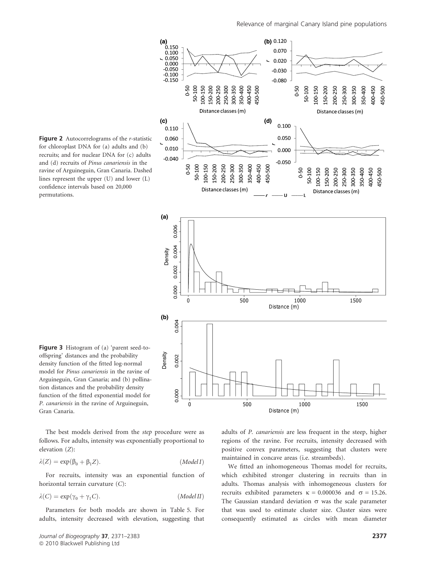50-100 00-150

 $0 - 50$ 

200-250

250-300 300-350 350-400 100-450

Distance classes (m)

150-200

I50-500

(b)  $0.120$ 0.070

0.020

 $-0.030$ 

 $-0.080$ 

Journal of Biogeography 37, 2371–2383 2377 238 2377  $@$  2010 Blackwell Publishing Ltd

horizontal terrain curvature (C):

elevation (Z):

Gran Canaria.

The best models derived from the step procedure were as follows. For adults, intensity was exponentially proportional to

 $\lambda(Z) = \exp(\beta_0 + \beta_1 Z).$  (*Model I*) For recruits, intensity was an exponential function of

 $\lambda(C) = \exp(\gamma_0 + \gamma_1 C).$ (Model II) Parameters for both models are shown in Table 5. For adults, intensity decreased with elevation, suggesting that adults of P. canariensis are less frequent in the steep, higher regions of the ravine. For recruits, intensity decreased with positive convex parameters, suggesting that clusters were maintained in concave areas (i.e. streambeds).

We fitted an inhomogeneous Thomas model for recruits, which exhibited stronger clustering in recruits than in adults. Thomas analysis with inhomogeneous clusters for recruits exhibited parameters  $\kappa = 0.000036$  and  $\sigma = 15.26$ . The Gaussian standard deviation  $\sigma$  was the scale parameter that was used to estimate cluster size. Cluster sizes were consequently estimated as circles with mean diameter

ravine of Arguineguin, Gran Canaria. Dashed

 $(a)$  0.150

 $0.100$  $-0.050$ 

 $0.000$  $-0.050$ 

 $-0.100$ 

 $-0.150$ 

50-100

 $0 - 50$ 

200-250 250-300 300-350

Distance classes (m)

350-400 400-450 150-500

150-200

100-150





Figure 3 Histogram of (a) 'parent seed-tooffspring' distances and the probability density function of the fitted log-normal model for Pinus canariensis in the ravine of Arguineguin, Gran Canaria; and (b) pollination distances and the probability density function of the fitted exponential model for P. canariensis in the ravine of Arguineguin,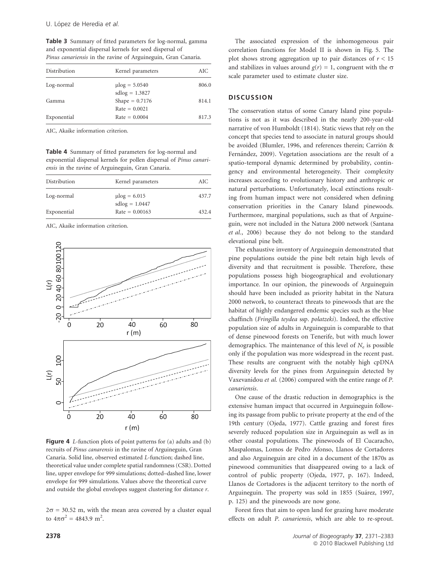Table 3 Summary of fitted parameters for log-normal, gamma and exponential dispersal kernels for seed dispersal of Pinus canariensis in the ravine of Arguineguin, Gran Canaria.

| Distribution | Kernel parameters                    | AIC   |
|--------------|--------------------------------------|-------|
| Log-normal   | $\mu$ log = 5.0540                   | 806.0 |
| Gamma        | $sdlog = 1.3827$<br>Shape = $0.7176$ | 814.1 |
| Exponential  | $Rate = 0.0021$<br>$Rate = 0.0004$   | 817.3 |

AIC, Akaike information criterion.

Table 4 Summary of fitted parameters for log-normal and exponential dispersal kernels for pollen dispersal of Pinus canariensis in the ravine of Arguineguin, Gran Canaria.

| Distribution | Kernel parameters                     | AIC   |
|--------------|---------------------------------------|-------|
| Log-normal   | $\mu$ log = 6.015<br>$sdlog = 1.0447$ | 437.7 |
| Exponential  | $Rate = 0.00163$                      | 432.4 |

AIC, Akaike information criterion.



Figure 4 L-function plots of point patterns for (a) adults and (b) recruits of Pinus canarensis in the ravine of Arguineguin, Gran Canaria. Solid line, observed estimated L-function; dashed line, theoretical value under complete spatial randomness (CSR). Dotted line, upper envelope for 999 simulations; dotted–dashed line, lower envelope for 999 simulations. Values above the theoretical curve and outside the global envelopes suggest clustering for distance  $r$ .

 $2\sigma = 30.52$  m, with the mean area covered by a cluster equal to  $4\pi\sigma^2 = 4843.9$  m<sup>2</sup>.

The associated expression of the inhomogeneous pair correlation functions for Model II is shown in Fig. 5. The plot shows strong aggregation up to pair distances of  $r < 15$ and stabilizes in values around  $g(r) = 1$ , congruent with the  $\sigma$ scale parameter used to estimate cluster size.

## **DISCUSSION**

The conservation status of some Canary Island pine populations is not as it was described in the nearly 200-year-old narrative of von Humboldt (1814). Static views that rely on the concept that species tend to associate in natural groups should be avoided (Blumler, 1996, and references therein; Carrión & Fernández, 2009). Vegetation associations are the result of a spatio-temporal dynamic determined by probability, contingency and environmental heterogeneity. Their complexity increases according to evolutionary history and anthropic or natural perturbations. Unfortunately, local extinctions resulting from human impact were not considered when defining conservation priorities in the Canary Island pinewoods. Furthermore, marginal populations, such as that of Arguineguin, were not included in the Natura 2000 network (Santana et al., 2006) because they do not belong to the standard elevational pine belt.

The exhaustive inventory of Arguineguin demonstrated that pine populations outside the pine belt retain high levels of diversity and that recruitment is possible. Therefore, these populations possess high biogeographical and evolutionary importance. In our opinion, the pinewoods of Arguineguin should have been included as priority habitat in the Natura 2000 network, to counteract threats to pinewoods that are the habitat of highly endangered endemic species such as the blue chaffinch (Fringilla teydea ssp. polatzeki). Indeed, the effective population size of adults in Arguineguin is comparable to that of dense pinewood forests on Tenerife, but with much lower demographics. The maintenance of this level of  $N_e$  is possible only if the population was more widespread in the recent past. These results are congruent with the notably high cpDNA diversity levels for the pines from Arguineguin detected by Vaxevanidou et al. (2006) compared with the entire range of P. canariensis.

One cause of the drastic reduction in demographics is the extensive human impact that occurred in Arguineguin following its passage from public to private property at the end of the 19th century (Ojeda, 1977). Cattle grazing and forest fires severely reduced population size in Arguineguin as well as in other coastal populations. The pinewoods of El Cucaracho, Maspalomas, Lomos de Pedro Afonso, Llanos de Cortadores and also Arguineguin are cited in a document of the 1870s as pinewood communities that disappeared owing to a lack of control of public property (Ojeda, 1977, p. 167). Indeed, Llanos de Cortadores is the adjacent territory to the north of Arguineguin. The property was sold in 1855 (Suárez, 1997, p. 125) and the pinewoods are now gone.

Forest fires that aim to open land for grazing have moderate effects on adult P. canariensis, which are able to re-sprout.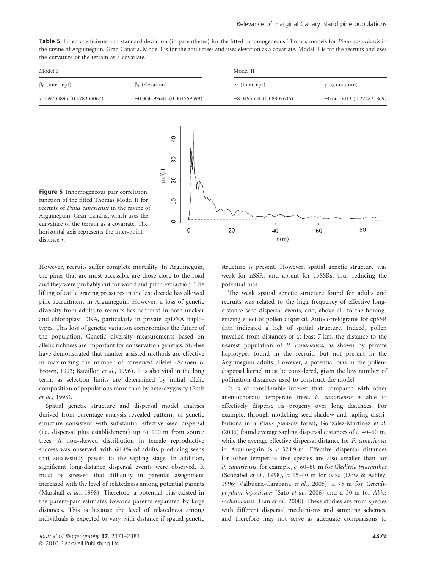Table 5 Fitted coefficients and standard deviation (in parentheses) for the fitted inhomogeneous Thomas models for Pinus canariensis in the ravine of Arguineguin, Gran Canaria. Model I is for the adult trees and uses elevation as a covariate. Model II is for the recruits and uses the curvature of the terrain as a covariate.

| Model I                   |                             | Model II                 |                           |  |
|---------------------------|-----------------------------|--------------------------|---------------------------|--|
| $\beta_0$ (intercept)     | $\beta_1$ (elevation)       | $\gamma_0$ (intercept)   | $\gamma_1$ (curvature)    |  |
| 7.359703895 (0.478336067) | $-0.004199641(0.001569598)$ | $-8.0495534(0.08807606)$ | $-0.6613013(0.274821869)$ |  |



However, recruits suffer complete mortality. In Arguineguin, the pines that are most accessible are those close to the road and they were probably cut for wood and pitch extraction. The lifting of cattle grazing pressures in the last decade has allowed pine recruitment in Arguineguin. However, a loss of genetic diversity from adults to recruits has occurred in both nuclear and chloroplast DNA, particularly in private cpDNA haplotypes. This loss of genetic variation compromises the future of the population. Genetic diversity measurements based on allelic richness are important for conservation genetics. Studies have demonstrated that marker-assisted methods are effective in maximizing the number of conserved alleles (Schoen & Brown, 1993; Bataillon et al., 1996). It is also vital in the long term, as selection limits are determined by initial allelic composition of populations more than by heterozygosity (Petit et al., 1998).

Spatial genetic structure and dispersal model analyses derived from parentage analysis revealed patterns of genetic structure consistent with substantial effective seed dispersal (i.e. dispersal plus establishment) up to 100 m from source trees. A non-skewed distribution in female reproductive success was observed, with 64.4% of adults producing seeds that successfully passed to the sapling stage. In addition, significant long-distance dispersal events were observed. It must be stressed that difficulty in parental assignment increased with the level of relatedness among potential parents (Marshall et al., 1998). Therefore, a potential bias existed in the parent-pair estimates towards parents separated by large distances. This is because the level of relatedness among individuals is expected to vary with distance if spatial genetic

Journal of Biogeography 37, 2371–2383 2379  $@$  2010 Blackwell Publishing Ltd

structure is present. However, spatial genetic structure was weak for nSSRs and absent for cpSSRs, thus reducing the potential bias.

The weak spatial genetic structure found for adults and recruits was related to the high frequency of effective longdistance seed-dispersal events, and, above all, to the homogenizing effect of pollen dispersal. Autocorrelograms for cpSSR data indicated a lack of spatial structure. Indeed, pollen travelled from distances of at least 7 km, the distance to the nearest population of P. canariensis, as shown by private haplotypes found in the recruits but not present in the Arguineguin adults. However, a potential bias in the pollendispersal kernel must be considered, given the low number of pollination distances used to construct the model.

It is of considerable interest that, compared with other anemochorous temperate trees, P. canariensis is able to effectively disperse its progeny over long distances. For example, through modelling seed-shadow and sapling distributions in a Pinus pinaster forest, González-Martínez et al. (2006) found average sapling dispersal distances of c. 40–60 m, while the average effective dispersal distance for P. canariensis in Arguineguin is c. 324.9 m. Effective dispersal distances for other temperate tree species are also smaller than for P. canariensis; for example, c. 60–80 m for Gleditsia triacanthos (Schnabel et al., 1998), c. 15–40 m for oaks (Dow & Ashley, 1996; Valbuena-Carabaña et al., 2005), c. 75 m for Cercidiphyllum japonicum (Sato et al., 2006) and c. 30 m for Abies sachalinensis (Lian et al., 2008). These studies are from species with different dispersal mechanisms and sampling schemes, and therefore may not serve as adequate comparisons to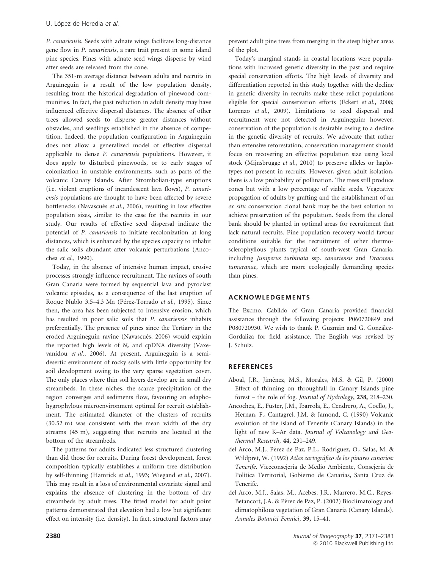P. canariensis. Seeds with adnate wings facilitate long-distance gene flow in P. canariensis, a rare trait present in some island pine species. Pines with adnate seed wings disperse by wind after seeds are released from the cone.

The 351-m average distance between adults and recruits in Arguineguin is a result of the low population density, resulting from the historical degradation of pinewood communities. In fact, the past reduction in adult density may have influenced effective dispersal distances. The absence of other trees allowed seeds to disperse greater distances without obstacles, and seedlings established in the absence of competition. Indeed, the population configuration in Arguineguin does not allow a generalized model of effective dispersal applicable to dense P. canariensis populations. However, it does apply to disturbed pinewoods, or to early stages of colonization in unstable environments, such as parts of the volcanic Canary Islands. After Strombolian-type eruptions (i.e. violent eruptions of incandescent lava flows), P. canariensis populations are thought to have been affected by severe bottlenecks (Navascués et al., 2006), resulting in low effective population sizes, similar to the case for the recruits in our study. Our results of effective seed dispersal indicate the potential of P. canariensis to initiate recolonization at long distances, which is enhanced by the species capacity to inhabit the salic soils abundant after volcanic perturbations (Ancochea et al., 1990).

Today, in the absence of intensive human impact, erosive processes strongly influence recruitment. The ravines of south Gran Canaria were formed by sequential lava and pyroclast volcanic episodes, as a consequence of the last eruption of Roque Nublo 3.5-4.3 Ma (Pérez-Torrado et al., 1995). Since then, the area has been subjected to intensive erosion, which has resulted in poor salic soils that P. canariensis inhabits preferentially. The presence of pines since the Tertiary in the eroded Arguineguin ravine (Navascués, 2006) would explain the reported high levels of  $N_e$  and cpDNA diversity (Vaxevanidou et al., 2006). At present, Arguineguin is a semidesertic environment of rocky soils with little opportunity for soil development owing to the very sparse vegetation cover. The only places where thin soil layers develop are in small dry streambeds. In these niches, the scarce precipitation of the region converges and sediments flow, favouring an edaphohygrophylous microenvironment optimal for recruit establishment. The estimated diameter of the clusters of recruits (30.52 m) was consistent with the mean width of the dry streams (45 m), suggesting that recruits are located at the bottom of the streambeds.

The patterns for adults indicated less structured clustering than did those for recruits. During forest development, forest composition typically establishes a uniform tree distribution by self-thinning (Hamrick et al., 1993; Wiegand et al., 2007). This may result in a loss of environmental covariate signal and explains the absence of clustering in the bottom of dry streambeds by adult trees. The fitted model for adult point patterns demonstrated that elevation had a low but significant effect on intensity (i.e. density). In fact, structural factors may prevent adult pine trees from merging in the steep higher areas of the plot.

Today's marginal stands in coastal locations were populations with increased genetic diversity in the past and require special conservation efforts. The high levels of diversity and differentiation reported in this study together with the decline in genetic diversity in recruits make these relict populations eligible for special conservation efforts (Eckert et al., 2008; Lorenzo et al., 2009). Limitations to seed dispersal and recruitment were not detected in Arguineguin; however, conservation of the population is desirable owing to a decline in the genetic diversity of recruits. We advocate that rather than extensive reforestation, conservation management should focus on recovering an effective population size using local stock (Mijnsbrugge et al., 2010) to preserve alleles or haplotypes not present in recruits. However, given adult isolation, there is a low probability of pollination. The trees still produce cones but with a low percentage of viable seeds. Vegetative propagation of adults by grafting and the establishment of an ex situ conservation clonal bank may be the best solution to achieve preservation of the population. Seeds from the clonal bank should be planted in optimal areas for recruitment that lack natural recruits. Pine population recovery would favour conditions suitable for the recruitment of other thermosclerophyllous plants typical of south-west Gran Canaria, including Juniperus turbinata ssp. canariensis and Dracaena tamaranae, which are more ecologically demanding species than pines.

# ACKNOWLEDGEMENTS

The Excmo. Cabildo of Gran Canaria provided financial assistance through the following projects: P060720849 and P080720930. We wish to thank P. Guzmán and G. González-Gordaliza for field assistance. The English was revised by J. Schulz.

# **REFERENCES**

- Aboal, J.R., Jiménez, M.S., Morales, M.S. & Gil, P. (2000) Effect of thinning on throughfall in Canary Islands pine forest – the role of fog. Journal of Hydrology, 238, 218–230.
- Ancochea, E., Fuster, J.M., Ibarrola, E., Cendrero, A., Coello, J., Hernan, F., Cantagrel, J.M. & Jamond, C. (1990) Volcanic evolution of the island of Tenerife (Canary Islands) in the light of new K–Ar data. Journal of Volcanology and Geothermal Research, 44, 231–249.
- del Arco, M.J., Pérez de Paz, P.L., Rodríguez, O., Salas, M. & Wildpret, W. (1992) Atlas cartográfico de los pinares canarios: Tenerife. Viceconsejería de Medio Ambiente, Consejería de Política Territorial, Gobierno de Canarias, Santa Cruz de Tenerife.
- del Arco, M.J., Salas, M., Acebes, J.R., Marrero, M.C., Reyes-Betancort, J.A. & Pérez de Paz, P. (2002) Bioclimatology and climatophilous vegetation of Gran Canaria (Canary Islands). Annales Botanici Fennici, 39, 15–41.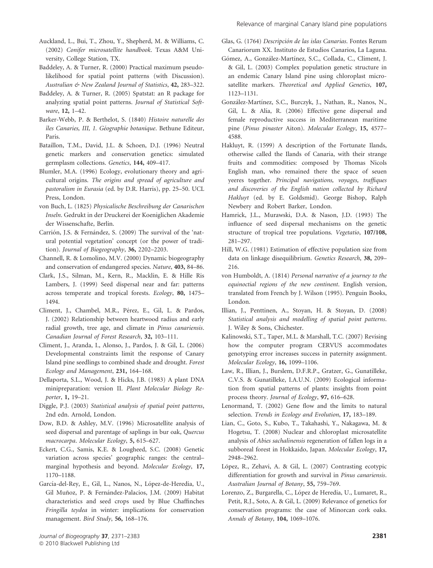- Auckland, L., Bui, T., Zhou, Y., Shepherd, M. & Williams, C. (2002) Conifer microsatellite handbook. Texas A&M University, College Station, TX.
- Baddeley, A. & Turner, R. (2000) Practical maximum pseudolikelihood for spatial point patterns (with Discussion). Australian & New Zealand Journal of Statistics, 42, 283–322.
- Baddeley, A. & Turner, R. (2005) Spatstat: an R package for analyzing spatial point patterns. Journal of Statistical Software, 12, 1–42.
- Barker-Webb, P. & Berthelot, S. (1840) Histoire naturelle des îles Canaries, III, 1. Géographie botanique. Bethune Editeur, Paris.
- Bataillon, T.M., David, J.L. & Schoen, D.J. (1996) Neutral genetic markers and conservation genetics: simulated germplasm collections. Genetics, 144, 409–417.
- Blumler, M.A. (1996) Ecology, evolutionary theory and agricultural origins. The origins and spread of agriculture and pastoralism in Eurasia (ed. by D.R. Harris), pp. 25–50. UCL Press, London.
- von Buch, L. (1825) Physicalische Beschreibung der Canarischen Inseln. Gedrukt in der Druckerei der Koeniglichen Akademie der Wissenschafte, Berlin.
- Carrión, J.S. & Fernández, S. (2009) The survival of the 'natural potential vegetation' concept (or the power of tradition). Journal of Biogeography, 36, 2202–2203.
- Channell, R. & Lomolino, M.V. (2000) Dynamic biogeography and conservation of endangered species. Nature, 403, 84–86.
- Clark, J.S., Silman, M., Kern, R., Macklin, E. & Hille Ris Lambers, J. (1999) Seed dispersal near and far: patterns across temperate and tropical forests. Ecology, 80, 1475– 1494.
- Climent, J., Chambel, M.R., Pérez, E., Gil, L. & Pardos, J. (2002) Relationship between heartwood radius and early radial growth, tree age, and climate in Pinus canariensis. Canadian Journal of Forest Research, 32, 103–111.
- Climent, J., Aranda, I., Alonso, J., Pardos, J. & Gil, L. (2006) Developmental constraints limit the response of Canary Island pine seedlings to combined shade and drought. Forest Ecology and Management, 231, 164–168.
- Dellaporta, S.L., Wood, J. & Hicks, J.B. (1983) A plant DNA minipreparation: version II. Plant Molecular Biology Reporter, 1, 19–21.
- Diggle, P.J. (2003) Statistical analysis of spatial point patterns, 2nd edn. Arnold, London.
- Dow, B.D. & Ashley, M.V. (1996) Microsatellite analysis of seed dispersal and parentage of saplings in bur oak, Quercus macrocarpa. Molecular Ecology, 5, 615–627.
- Eckert, C.G., Samis, K.E. & Lougheed, S.C. (2008) Genetic variation across species' geographic ranges: the central– marginal hypothesis and beyond. Molecular Ecology, 17, 1170–1188.
- García-del-Rey, E., Gil, L., Nanos, N., López-de-Heredia, U., Gil Muñoz, P. & Fernández-Palacios, J.M. (2009) Habitat characteristics and seed crops used by Blue Chaffinches Fringilla teydea in winter: implications for conservation management. Bird Study, 56, 168–176.
- Glas, G. (1764) Descripción de las islas Canarias. Fontes Rerum Canariorum XX. Instituto de Estudios Canarios, La Laguna.
- Gómez, A., González-Martínez, S.C., Collada, C., Climent, J. & Gil, L. (2003) Complex population genetic structure in an endemic Canary Island pine using chloroplast microsatellite markers. Theoretical and Applied Genetics, 107, 1123–1131.
- González-Martínez, S.C., Burczyk, J., Nathan, R., Nanos, N., Gil, L. & Alía, R. (2006) Effective gene dispersal and female reproductive success in Mediterranean maritime pine (Pinus pinaster Aiton). Molecular Ecology, 15, 4577– 4588.
- Hakluyt, R. (1599) A description of the Fortunate Ilands, otherwise called the Ilands of Canaria, with their strange fruits and commodities: composed by Thomas Nicols English man, who remained there the space of seuen yeeres together. Principal navigations, voyages, traffiques and discoveries of the English nation collected by Richard Hakluyt (ed. by E. Goldsmid). George Bishop, Ralph Newbery and Robert Barker, London.
- Hamrick, J.L., Murawski, D.A. & Nason, J.D. (1993) The influence of seed dispersal mechanisms on the genetic structure of tropical tree populations. Vegetatio, 107/108, 281–297.
- Hill, W.G. (1981) Estimation of effective population size from data on linkage disequilibrium. Genetics Research, 38, 209– 216.
- von Humboldt, A. (1814) Personal narrative of a journey to the equinoctial regions of the new continent. English version, translated from French by J. Wilson (1995). Penguin Books, London.
- Illian, J., Penttinen, A., Stoyan, H. & Stoyan, D. (2008) Statistical analysis and modelling of spatial point patterns. J. Wiley & Sons, Chichester.
- Kalinowski, S.T., Taper, M.L. & Marshall, T.C. (2007) Revising how the computer program CERVUS accommodates genotyping error increases success in paternity assignment. Molecular Ecology, 16, 1099–1106.
- Law, R., Illian, J., Burslem, D.F.R.P., Gratzer, G., Gunatilleke, C.V.S. & Gunatilleke, I.A.U.N. (2009) Ecological information from spatial patterns of plants: insights from point process theory. Journal of Ecology, 97, 616–628.
- Lenormand, T. (2002) Gene flow and the limits to natural selection. Trends in Ecology and Evolution, 17, 183-189.
- Lian, C., Goto, S., Kubo, T., Takahashi, Y., Nakagawa, M. & Hogetsu, T. (2008) Nuclear and chloroplast microsatellite analysis of Abies sachalinensis regeneration of fallen logs in a subboreal forest in Hokkaido, Japan. Molecular Ecology, 17, 2948–2962.
- López, R., Zehavi, A. & Gil, L. (2007) Contrasting ecotypic differentiation for growth and survival in Pinus canariensis. Australian Journal of Botany, 55, 759–769.
- Lorenzo, Z., Burgarella, C., López de Heredia, U., Lumaret, R., Petit, R.J., Soto, A. & Gil, L. (2009) Relevance of genetics for conservation programs: the case of Minorcan cork oaks. Annals of Botany, 104, 1069–1076.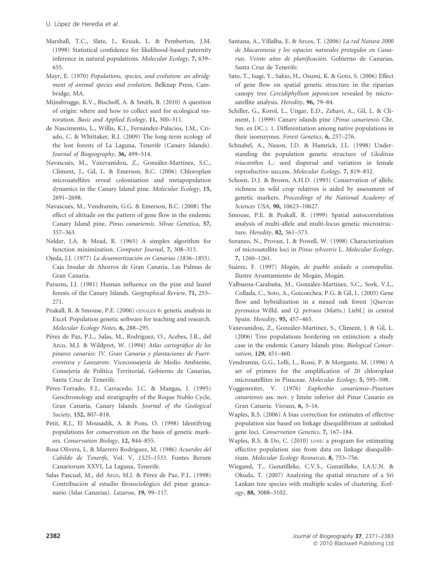- Marshall, T.C., Slate, J., Kruuk, L. & Pemberton, J.M. (1998) Statistical confidence for likelihood-based paternity inference in natural populations. Molecular Ecology, 7, 639– 655.
- Mayr, E. (1970) Populations, species, and evolution: an abridgment of animal species and evolution. Belknap Press, Cambridge, MA.
- Mijnsbrugge, K.V., Bischoff, A. & Smith, B. (2010) A question of origin: where and how to collect seed for ecological restoration. Basic and Applied Ecology, 11, 300–311.
- de Nascimento, L., Willis, K.J., Fernández-Palacios, J.M., Criado, C. & Whittaker, R.J. (2009) The long-term ecology of the lost forests of La Laguna, Tenerife (Canary Islands). Journal of Biogeography, 36, 499–514.
- Navascués, M., Vaxevanidou, Z., González-Martínez, S.C., Climent, J., Gil, L. & Emerson, B.C. (2006) Chloroplast microsatellites reveal colonization and metapopulation dynamics in the Canary Island pine. Molecular Ecology, 15, 2691–2698.
- Navascués, M., Vendramin, G.G. & Emerson, B.C. (2008) The effect of altitude on the pattern of gene flow in the endemic Canary Island pine, Pinus canariensis. Silvae Genetica, 57, 357–363.
- Nelder, J.A. & Mead, R. (1965) A simplex algorithm for function minimization. Computer Journal, 7, 308–313.
- Ojeda, J.J. (1977) La desamortización en Canarias (1836-1855). Caja Insular de Ahorros de Gran Canaria, Las Palmas de Gran Canaria.
- Parsons, J.J. (1981) Human influence on the pine and laurel forests of the Canary Islands. Geographical Review, 71, 253– 271.
- Peakall, R. & Smouse, P.E. (2006) GENALEX 6: genetic analysis in Excel. Population genetic software for teaching and research. Molecular Ecology Notes, 6, 288–295.
- Pérez de Paz, P.L., Salas, M., Rodríguez, O., Acebes, J.R., del Arco, M.J. & Wildpret, W. (1994) Atlas cartográfico de los pinares canarios: IV. Gran Canaria y plantaciones de Fuerteventura y Lanzarote. Viceconsejería de Medio Ambiente, Consejería de Política Territorial, Gobierno de Canarias, Santa Cruz de Tenerife.
- Pérez-Torrado, F.J., Carracedo, J.C. & Mangas, J. (1995) Geochronology and stratigraphy of the Roque Nublo Cycle, Gran Canaria, Canary Islands. Journal of the Geological Society, 152, 807–818.
- Petit, R.J., El Mousadik, A. & Pons, O. (1998) Identifying populations for conservation on the basis of genetic markers. Conservation Biology, 12, 844–855.
- Rosa Olivera, L. & Marrero Rodríguez, M. (1986) Acuerdos del Cabildo de Tenerife, Vol. V, 1525–1533. Fontes Rerum Canariorum XXVI, La Laguna, Tenerife.
- Salas Pascual, M., del Arco, M.J. & Pérez de Paz, P.L. (1998) Contribución al estudio fitosociológico del pinar grancanario (Islas Canarias). Lazaroa, 19, 99–117.
- Santana, A., Villalba, E. & Arcos, T. (2006) La red Natura 2000 de Macaronesia y los espacios naturales protegidos en Canarias. Veinte años de planificación. Gobierno de Canarias, Santa Cruz de Tenerife.
- Sato, T., Isagi, Y., Sakio, H., Osumi, K. & Goto, S. (2006) Effect of gene flow on spatial genetic structure in the riparian canopy tree Cercidiphyllum japonicum revealed by microsatellite analysis. Heredity, 96, 79-84.
- Schiller, G., Korol, L., Ungar, E.D., Zehavi, A., Gil, L. & Climent, J. (1999) Canary islands pine (Pinus canariensis Chr. Sm. ex DC.). 1. Differentiation among native populations in their isoenzymes. Forest Genetics, 6, 257–276.
- Schnabel, A., Nason, J.D. & Hamrick, J.L. (1998) Understanding the population genetic structure of Gleditsia triacanthos L.: seed dispersal and variation in female reproductive success. Molecular Ecology, 7, 819–832.
- Schoen, D.J. & Brown, A.H.D. (1993) Conservation of allelic richness in wild crop relatives is aided by assessment of genetic markers. Proceedings of the National Academy of Sciences USA, 90, 10623–10627.
- Smouse, P.E. & Peakall, R. (1999) Spatial autocorrelation analysis of multi-allele and multi-locus genetic microstructure. Heredity, 82, 561–573.
- Soranzo, N., Provan, J. & Powell, W. (1998) Characterization of microsatellite loci in Pinus sylvestris L. Molecular Ecology, 7, 1260–1261.
- Suárez, F. (1997) Mogán, de pueblo aislado a cosmopolita. Ilustre Ayuntamiento de Mogán, Mogán.
- Valbuena-Carabaña, M., González-Martínez, S.C., Sork, V.L., Collada, C., Soto, A., Goicoechea, P.G. & Gil, L. (2005) Gene flow and hybridization in a mixed oak forest [Quercus pyrenaica Willd. and Q. petraea (Matts.) Liebl.] in central Spain. Heredity, 95, 457–465.
- Vaxevanidou, Z., González-Martínez, S., Climent, J. & Gil, L. (2006) Tree populations bordering on extinction: a study case in the endemic Canary Islands pine. Biological Conservation, 129, 451–460.
- Vendramin, G.G., Lelli, L., Rossi, P. & Morgante, M. (1996) A set of primers for the amplification of 20 chloroplast microsatellites in Pinaceae. Molecular Ecology, 5, 595–598.
- Voggenreiter, V. (1976) Euphorbio canariensis–Pinetum canariensis ass. nov. y límite inferior del Pinar Canario en Gran Canaria. Vieraea, 6, 3–16.
- Waples, R.S. (2006) A bias correction for estimates of effective population size based on linkage disequilibrium at unlinked gene loci. Conservation Genetics, 7, 167–184.
- Waples, R.S. & Do, C. (2010) LDNE: a program for estimating effective population size from data on linkage disequilibrium. Molecular Ecology Resources, 8, 753–756.
- Wiegand, T., Gunatilleke, C.V.S., Gunatilleke, I.A.U.N. & Okuda, T. (2007) Analyzing the spatial structure of a Sri Lankan tree species with multiple scales of clustering. Ecology, 88, 3088–3102.